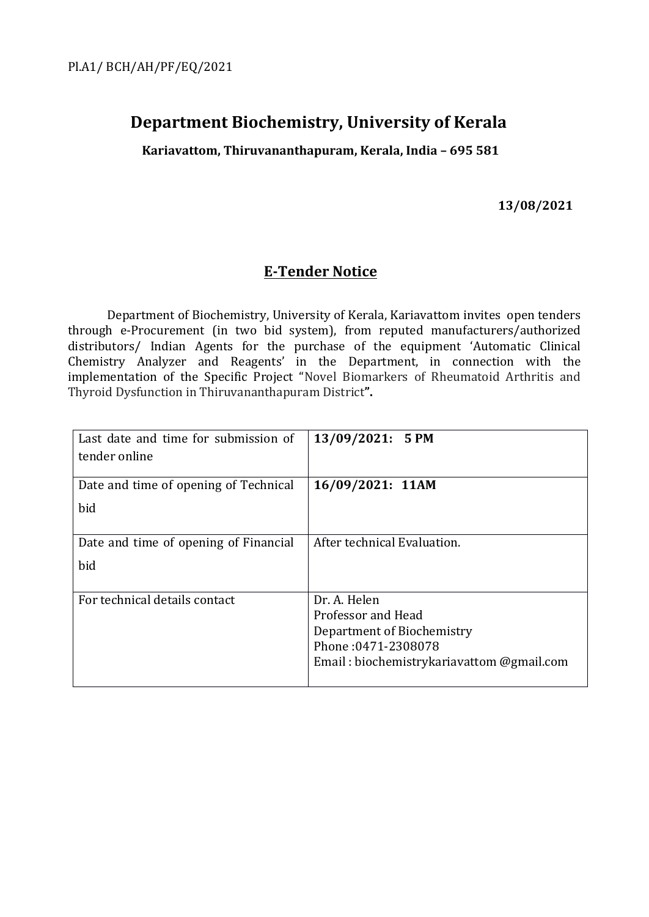# **Department Biochemistry, University of Kerala**

**Kariavattom, Thiruvananthapuram, Kerala, India – 695 581**

**13/08/2021**

### **E-Tender Notice**

Department of Biochemistry, University of Kerala, Kariavattom invites open tenders through e-Procurement (in two bid system), from reputed manufacturers/authorized distributors/ Indian Agents for the purchase of the equipment 'Automatic Clinical Chemistry Analyzer and Reagents' in the Department, in connection with the implementation of the Specific Project "Novel Biomarkers of Rheumatoid Arthritis and Thyroid Dysfunction in Thiruvananthapuram District**".**

| Last date and time for submission of  | 13/09/2021: 5 PM                          |
|---------------------------------------|-------------------------------------------|
| tender online                         |                                           |
|                                       |                                           |
| Date and time of opening of Technical | 16/09/2021: 11AM                          |
| bid                                   |                                           |
|                                       |                                           |
| Date and time of opening of Financial | After technical Evaluation.               |
| bid                                   |                                           |
|                                       |                                           |
| For technical details contact         | Dr. A. Helen                              |
|                                       | Professor and Head                        |
|                                       | Department of Biochemistry                |
|                                       | Phone: 0471-2308078                       |
|                                       | Email: biochemistrykariavattom @gmail.com |
|                                       |                                           |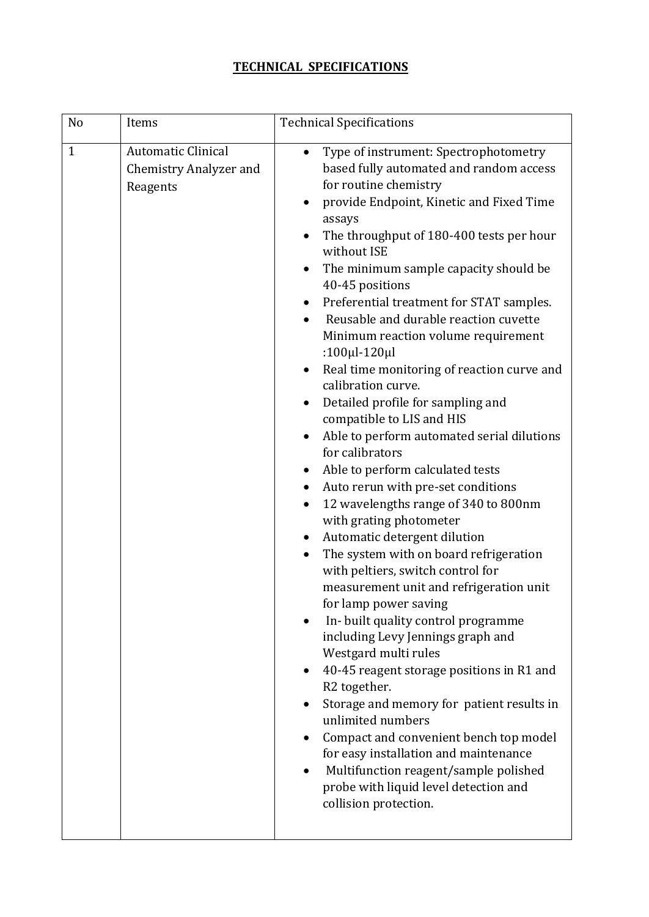## **TECHNICAL SPECIFICATIONS**

| N <sub>o</sub> | Items                                                           | <b>Technical Specifications</b>                                                                                                                                                                                                                                                                                                                                                                                                                                                                                                                                                                                                                                                                                                                                                                                                                                                                                                                                                                                                                                                                                                                                                                                                                                                                                                                                                                                                                                              |
|----------------|-----------------------------------------------------------------|------------------------------------------------------------------------------------------------------------------------------------------------------------------------------------------------------------------------------------------------------------------------------------------------------------------------------------------------------------------------------------------------------------------------------------------------------------------------------------------------------------------------------------------------------------------------------------------------------------------------------------------------------------------------------------------------------------------------------------------------------------------------------------------------------------------------------------------------------------------------------------------------------------------------------------------------------------------------------------------------------------------------------------------------------------------------------------------------------------------------------------------------------------------------------------------------------------------------------------------------------------------------------------------------------------------------------------------------------------------------------------------------------------------------------------------------------------------------------|
| $\mathbf{1}$   | <b>Automatic Clinical</b><br>Chemistry Analyzer and<br>Reagents | Type of instrument: Spectrophotometry<br>$\bullet$<br>based fully automated and random access<br>for routine chemistry<br>provide Endpoint, Kinetic and Fixed Time<br>assays<br>The throughput of 180-400 tests per hour<br>without ISE<br>The minimum sample capacity should be<br>40-45 positions<br>Preferential treatment for STAT samples.<br>Reusable and durable reaction cuvette<br>Minimum reaction volume requirement<br>: $100 \mu$ l- $120 \mu$ l<br>Real time monitoring of reaction curve and<br>$\bullet$<br>calibration curve.<br>Detailed profile for sampling and<br>compatible to LIS and HIS<br>Able to perform automated serial dilutions<br>for calibrators<br>Able to perform calculated tests<br>Auto rerun with pre-set conditions<br>$\bullet$<br>12 wavelengths range of 340 to 800nm<br>with grating photometer<br>Automatic detergent dilution<br>The system with on board refrigeration<br>with peltiers, switch control for<br>measurement unit and refrigeration unit<br>for lamp power saving<br>In- built quality control programme<br>including Levy Jennings graph and<br>Westgard multi rules<br>40-45 reagent storage positions in R1 and<br>$\bullet$<br>R2 together.<br>Storage and memory for patient results in<br>unlimited numbers<br>Compact and convenient bench top model<br>for easy installation and maintenance<br>Multifunction reagent/sample polished<br>probe with liquid level detection and<br>collision protection. |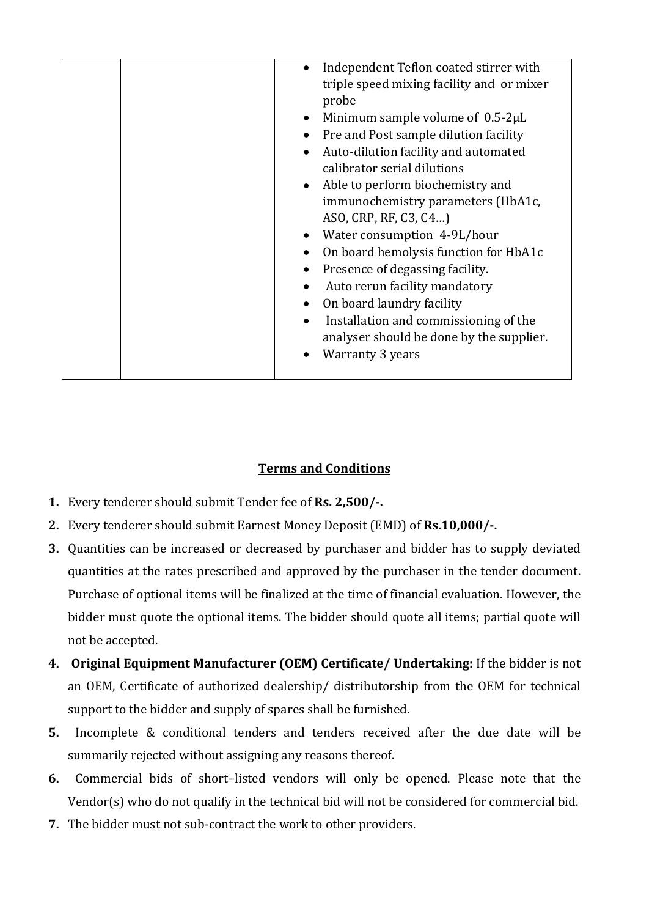|  | Independent Teflon coated stirrer with<br>$\bullet$ |
|--|-----------------------------------------------------|
|  | triple speed mixing facility and or mixer           |
|  | probe                                               |
|  | Minimum sample volume of $0.5-2\mu L$<br>$\bullet$  |
|  | Pre and Post sample dilution facility<br>$\bullet$  |
|  | Auto-dilution facility and automated<br>$\bullet$   |
|  | calibrator serial dilutions                         |
|  | Able to perform biochemistry and<br>$\bullet$       |
|  | immunochemistry parameters (HbA1c,                  |
|  | ASO, CRP, RF, C3, C4)                               |
|  | Water consumption 4-9L/hour<br>$\bullet$            |
|  | On board hemolysis function for HbA1c<br>$\bullet$  |
|  | Presence of degassing facility.<br>$\bullet$        |
|  | Auto rerun facility mandatory<br>$\bullet$          |
|  | On board laundry facility<br>$\bullet$              |
|  | Installation and commissioning of the<br>$\bullet$  |
|  | analyser should be done by the supplier.            |
|  | <b>Warranty 3 years</b><br>$\bullet$                |
|  |                                                     |

#### **Terms and Conditions**

- **1.** Every tenderer should submit Tender fee of **Rs. 2,500/-.**
- **2.** Every tenderer should submit Earnest Money Deposit (EMD) of **Rs.10,000/-.**
- **3.** Quantities can be increased or decreased by purchaser and bidder has to supply deviated quantities at the rates prescribed and approved by the purchaser in the tender document. Purchase of optional items will be finalized at the time of financial evaluation. However, the bidder must quote the optional items. The bidder should quote all items; partial quote will not be accepted.
- **4. Original Equipment Manufacturer (OEM) Certificate/ Undertaking:** If the bidder is not an OEM, Certificate of authorized dealership/ distributorship from the OEM for technical support to the bidder and supply of spares shall be furnished.
- **5.** Incomplete & conditional tenders and tenders received after the due date will be summarily rejected without assigning any reasons thereof.
- **6.** Commercial bids of short–listed vendors will only be opened. Please note that the Vendor(s) who do not qualify in the technical bid will not be considered for commercial bid.
- **7.** The bidder must not sub-contract the work to other providers.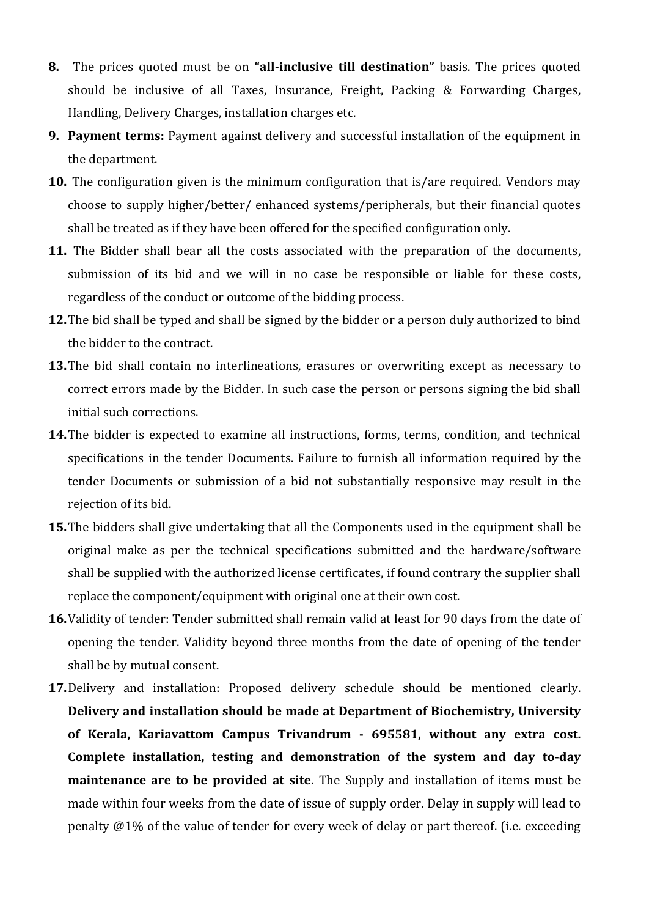- **8.** The prices quoted must be on **"all-inclusive till destination"** basis. The prices quoted should be inclusive of all Taxes, Insurance, Freight, Packing & Forwarding Charges, Handling, Delivery Charges, installation charges etc.
- **9. Payment terms:** Payment against delivery and successful installation of the equipment in the department.
- **10.** The configuration given is the minimum configuration that is/are required. Vendors may choose to supply higher/better/ enhanced systems/peripherals, but their financial quotes shall be treated as if they have been offered for the specified configuration only.
- **11.** The Bidder shall bear all the costs associated with the preparation of the documents, submission of its bid and we will in no case be responsible or liable for these costs, regardless of the conduct or outcome of the bidding process.
- **12.**The bid shall be typed and shall be signed by the bidder or a person duly authorized to bind the bidder to the contract.
- **13.**The bid shall contain no interlineations, erasures or overwriting except as necessary to correct errors made by the Bidder. In such case the person or persons signing the bid shall initial such corrections.
- **14.**The bidder is expected to examine all instructions, forms, terms, condition, and technical specifications in the tender Documents. Failure to furnish all information required by the tender Documents or submission of a bid not substantially responsive may result in the rejection of its bid.
- **15.**The bidders shall give undertaking that all the Components used in the equipment shall be original make as per the technical specifications submitted and the hardware/software shall be supplied with the authorized license certificates, if found contrary the supplier shall replace the component/equipment with original one at their own cost.
- **16.**Validity of tender: Tender submitted shall remain valid at least for 90 days from the date of opening the tender. Validity beyond three months from the date of opening of the tender shall be by mutual consent.
- **17.**Delivery and installation: Proposed delivery schedule should be mentioned clearly. **Delivery and installation should be made at Department of Biochemistry, University of Kerala, Kariavattom Campus Trivandrum - 695581, without any extra cost. Complete installation, testing and demonstration of the system and day to-day maintenance are to be provided at site.** The Supply and installation of items must be made within four weeks from the date of issue of supply order. Delay in supply will lead to penalty @1% of the value of tender for every week of delay or part thereof. (i.e. exceeding